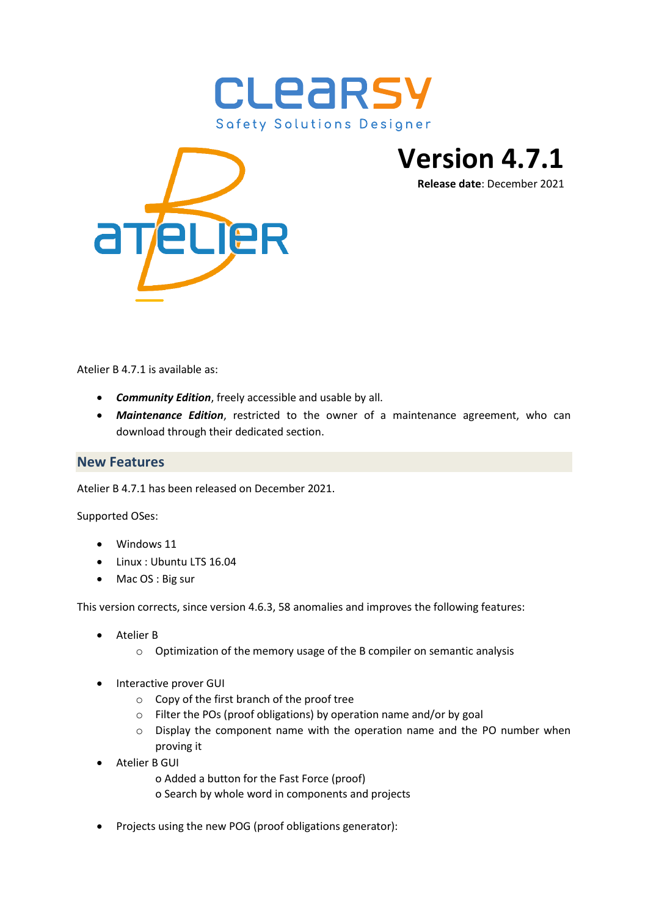



**Version 4.7.1**

**Release date**: December 2021

Atelier B 4.7.1 is available as:

- *Community Edition*, freely accessible and usable by all.
- *Maintenance Edition*, restricted to the owner of a maintenance agreement, who can download through their dedicated section.

## **New Features**

Atelier B 4.7.1 has been released on December 2021.

Supported OSes:

- Windows 11
- Linux : Ubuntu LTS 16.04
- Mac OS : Big sur

This version corrects, since version 4.6.3, 58 anomalies and improves the following features:

- Atelier B
	- o Optimization of the memory usage of the B compiler on semantic analysis
- Interactive prover GUI
	- o Copy of the first branch of the proof tree
	- o Filter the POs (proof obligations) by operation name and/or by goal
	- o Display the component name with the operation name and the PO number when proving it
- Atelier B GUI
	- o Added a button for the Fast Force (proof)
	- o Search by whole word in components and projects
- Projects using the new POG (proof obligations generator):